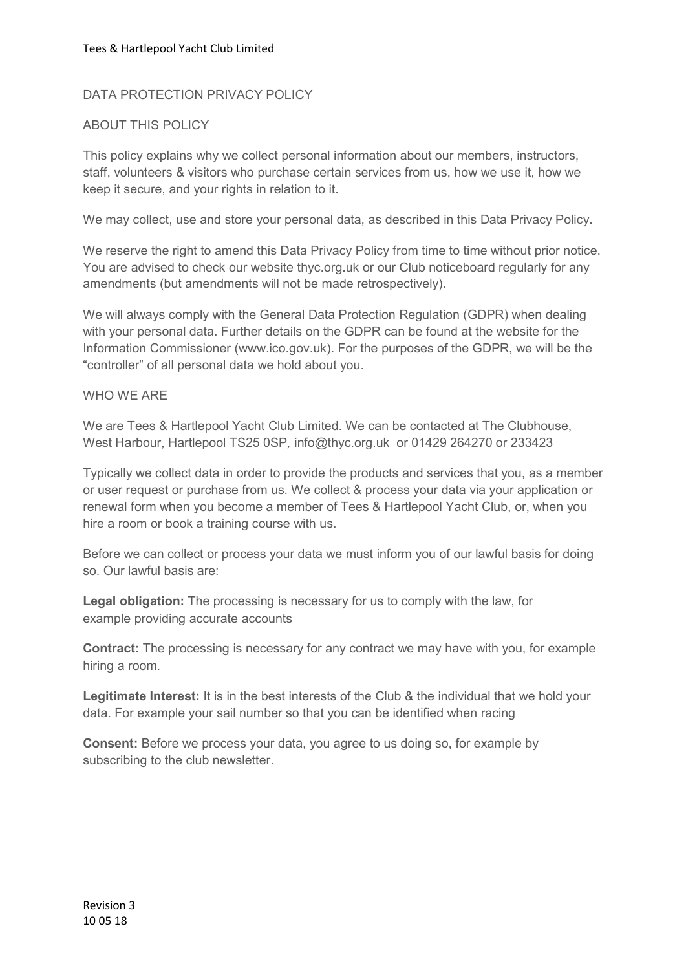# DATA PROTECTION PRIVACY POLICY

# ABOUT THIS POLICY

This policy explains why we collect personal information about our members, instructors, staff, volunteers & visitors who purchase certain services from us, how we use it, how we keep it secure, and your rights in relation to it.

We may collect, use and store your personal data, as described in this Data Privacy Policy.

We reserve the right to amend this Data Privacy Policy from time to time without prior notice. You are advised to check our website thyc.org.uk or our Club noticeboard regularly for any amendments (but amendments will not be made retrospectively).

We will always comply with the General Data Protection Regulation (GDPR) when dealing with your personal data. Further details on the GDPR can be found at the website for the Information Commissioner (www.ico.gov.uk). For the purposes of the GDPR, we will be the "controller" of all personal data we hold about you.

## WHO WE ARE

We are Tees & Hartlepool Yacht Club Limited. We can be contacted at The Clubhouse, West Harbour, Hartlepool TS25 0SP, info@thyc.org.uk or 01429 264270 or 233423

Typically we collect data in order to provide the products and services that you, as a member or user request or purchase from us. We collect & process your data via your application or renewal form when you become a member of Tees & Hartlepool Yacht Club, or, when you hire a room or book a training course with us.

Before we can collect or process your data we must inform you of our lawful basis for doing so. Our lawful basis are:

Legal obligation: The processing is necessary for us to comply with the law, for example providing accurate accounts

Contract: The processing is necessary for any contract we may have with you, for example hiring a room.

Legitimate Interest: It is in the best interests of the Club & the individual that we hold your data. For example your sail number so that you can be identified when racing

Consent: Before we process your data, you agree to us doing so, for example by subscribing to the club newsletter.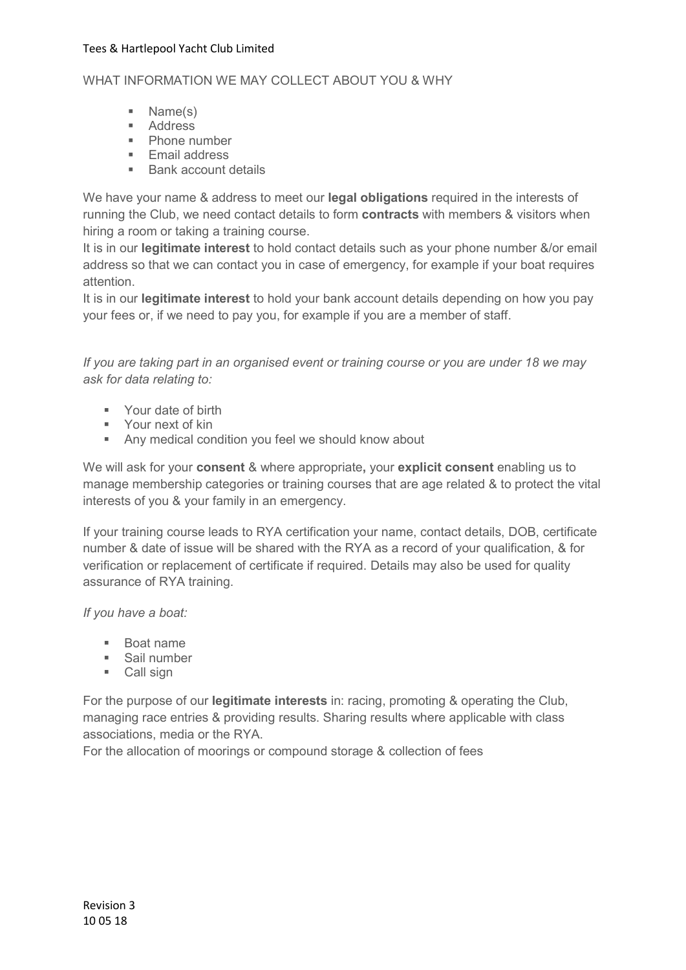## WHAT INFORMATION WE MAY COLLECT ABOUT YOU & WHY

- Name(s)
- **Address**
- **Phone number**
- **Email address**
- Bank account details

We have your name & address to meet our **legal obligations** required in the interests of running the Club, we need contact details to form **contracts** with members & visitors when hiring a room or taking a training course.

It is in our legitimate interest to hold contact details such as your phone number &/or email address so that we can contact you in case of emergency, for example if your boat requires attention.

It is in our legitimate interest to hold your bank account details depending on how you pay your fees or, if we need to pay you, for example if you are a member of staff.

If you are taking part in an organised event or training course or you are under 18 we may ask for data relating to:

- **Your date of birth**
- **Your next of kin**
- Any medical condition you feel we should know about

We will ask for your consent & where appropriate, your explicit consent enabling us to manage membership categories or training courses that are age related & to protect the vital interests of you & your family in an emergency.

If your training course leads to RYA certification your name, contact details, DOB, certificate number & date of issue will be shared with the RYA as a record of your qualification, & for verification or replacement of certificate if required. Details may also be used for quality assurance of RYA training.

If you have a boat:

- Boat name
- **Sail number**
- Call sign

For the purpose of our legitimate interests in: racing, promoting & operating the Club, managing race entries & providing results. Sharing results where applicable with class associations, media or the RYA.

For the allocation of moorings or compound storage & collection of fees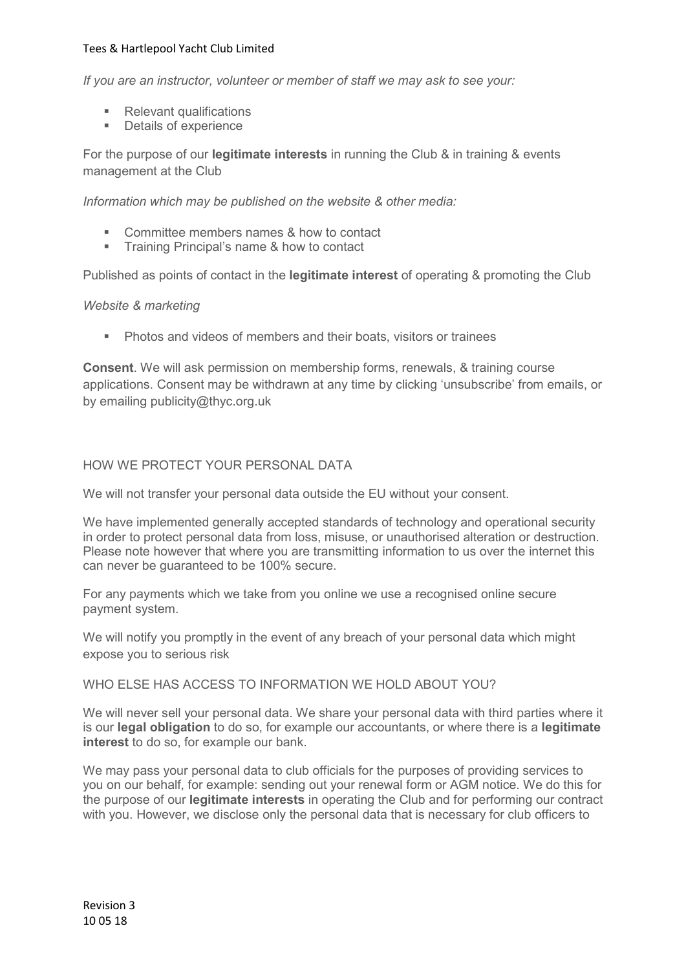If you are an instructor, volunteer or member of staff we may ask to see your:

- Relevant qualifications
- Details of experience

For the purpose of our **legitimate interests** in running the Club & in training & events management at the Club

Information which may be published on the website & other media:

- **Committee members names & how to contact**
- **Training Principal's name & how to contact**

Published as points of contact in the **legitimate interest** of operating & promoting the Club

### Website & marketing

**Photos and videos of members and their boats, visitors or trainees** 

Consent. We will ask permission on membership forms, renewals, & training course applications. Consent may be withdrawn at any time by clicking 'unsubscribe' from emails, or by emailing publicity@thyc.org.uk

## HOW WE PROTECT YOUR PERSONAL DATA

We will not transfer your personal data outside the EU without your consent.

We have implemented generally accepted standards of technology and operational security in order to protect personal data from loss, misuse, or unauthorised alteration or destruction. Please note however that where you are transmitting information to us over the internet this can never be guaranteed to be 100% secure.

For any payments which we take from you online we use a recognised online secure payment system.

We will notify you promptly in the event of any breach of your personal data which might expose you to serious risk

### WHO ELSE HAS ACCESS TO INFORMATION WE HOLD ABOUT YOU?

We will never sell your personal data. We share your personal data with third parties where it is our **legal obligation** to do so, for example our accountants, or where there is a **legitimate** interest to do so, for example our bank.

We may pass your personal data to club officials for the purposes of providing services to you on our behalf, for example: sending out your renewal form or AGM notice. We do this for the purpose of our legitimate interests in operating the Club and for performing our contract with you. However, we disclose only the personal data that is necessary for club officers to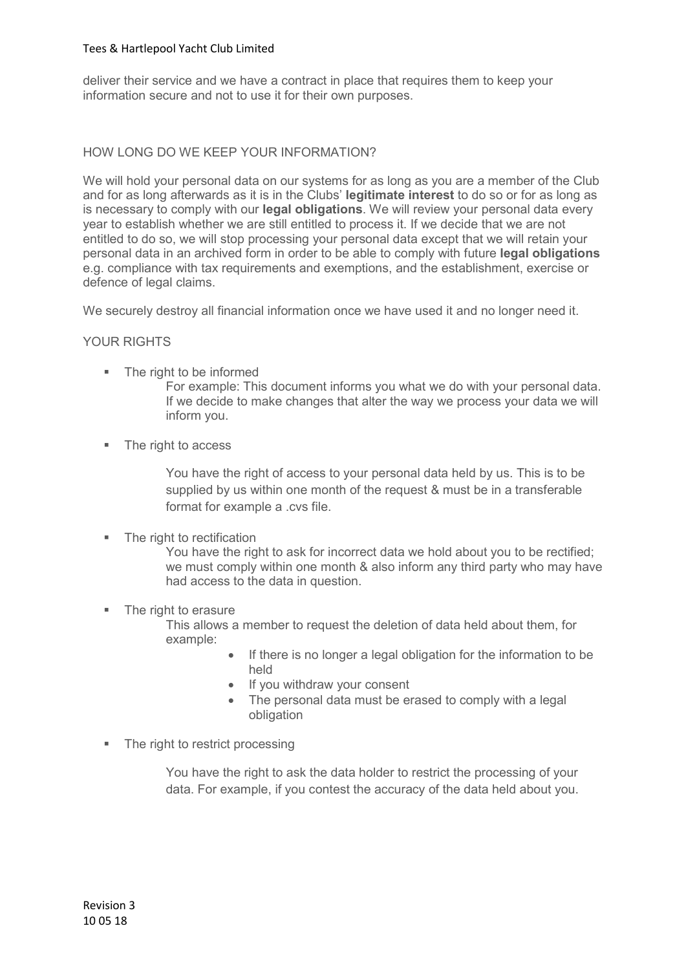deliver their service and we have a contract in place that requires them to keep your information secure and not to use it for their own purposes.

## HOW LONG DO WE KEEP YOUR INFORMATION?

We will hold your personal data on our systems for as long as you are a member of the Club and for as long afterwards as it is in the Clubs' legitimate interest to do so or for as long as is necessary to comply with our legal obligations. We will review your personal data every year to establish whether we are still entitled to process it. If we decide that we are not entitled to do so, we will stop processing your personal data except that we will retain your personal data in an archived form in order to be able to comply with future legal obligations e.g. compliance with tax requirements and exemptions, and the establishment, exercise or defence of legal claims.

We securely destroy all financial information once we have used it and no longer need it.

## YOUR RIGHTS

• The right to be informed

For example: This document informs you what we do with your personal data. If we decide to make changes that alter the way we process your data we will inform you.

• The right to access

You have the right of access to your personal data held by us. This is to be supplied by us within one month of the request & must be in a transferable format for example a .cvs file.

• The right to rectification

You have the right to ask for incorrect data we hold about you to be rectified; we must comply within one month & also inform any third party who may have had access to the data in question.

• The right to erasure

This allows a member to request the deletion of data held about them, for example:

- If there is no longer a legal obligation for the information to be held
- If you withdraw your consent
- The personal data must be erased to comply with a legal obligation
- The right to restrict processing

You have the right to ask the data holder to restrict the processing of your data. For example, if you contest the accuracy of the data held about you.